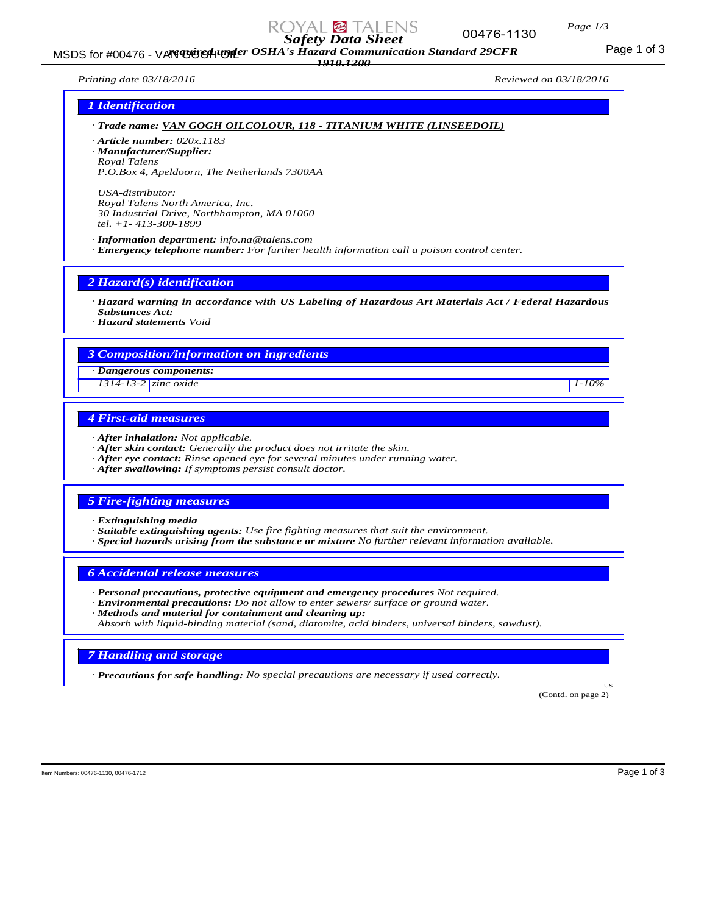

MSDS for #00476 - VAN GOGGH COSHA's Hazard Communication Standard 29CFR<br>MSDS for #00476 - VAN GOGH COSHA's Hazard Communication Standard 29CFR

*1910.1200*

00476-1130

*Page 1/3*

*Printing date 03/18/2016 Reviewed on 03/18/2016*

# *1 Identification*

*· Trade name: VAN GOGH OILCOLOUR, 118 - TITANIUM WHITE (LINSEEDOIL) · Article number: 020x.1183*

*· Manufacturer/Supplier: Royal Talens P.O.Box 4, Apeldoorn, The Netherlands 7300AA*

*USA-distributor: Royal Talens North America, Inc. 30 Industrial Drive, Northhampton, MA 01060 tel. +1- 413-300-1899*

*· Information department: info.na@talens.com · Emergency telephone number: For further health information call a poison control center.*

*2 Hazard(s) identification*

*· Hazard warning in accordance with US Labeling of Hazardous Art Materials Act / Federal Hazardous Substances Act:*

*· Hazard statements Void*

# *3 Composition/information on ingredients*

*· Dangerous components:*

*1314-13-2 zinc oxide 1-10%*

# *4 First-aid measures*

- *· After inhalation: Not applicable.*
- *· After skin contact: Generally the product does not irritate the skin.*
- *· After eye contact: Rinse opened eye for several minutes under running water.*
- *· After swallowing: If symptoms persist consult doctor.*

# *5 Fire-fighting measures*

- *· Extinguishing media*
- *· Suitable extinguishing agents: Use fire fighting measures that suit the environment.*
- *· Special hazards arising from the substance or mixture No further relevant information available.*

#### *6 Accidental release measures*

- *· Personal precautions, protective equipment and emergency procedures Not required.*
- *· Environmental precautions: Do not allow to enter sewers/ surface or ground water.*
- *· Methods and material for containment and cleaning up:*
- *Absorb with liquid-binding material (sand, diatomite, acid binders, universal binders, sawdust).*

# *7 Handling and storage*

*· Precautions for safe handling: No special precautions are necessary if used correctly.*

(Contd. on page 2)

US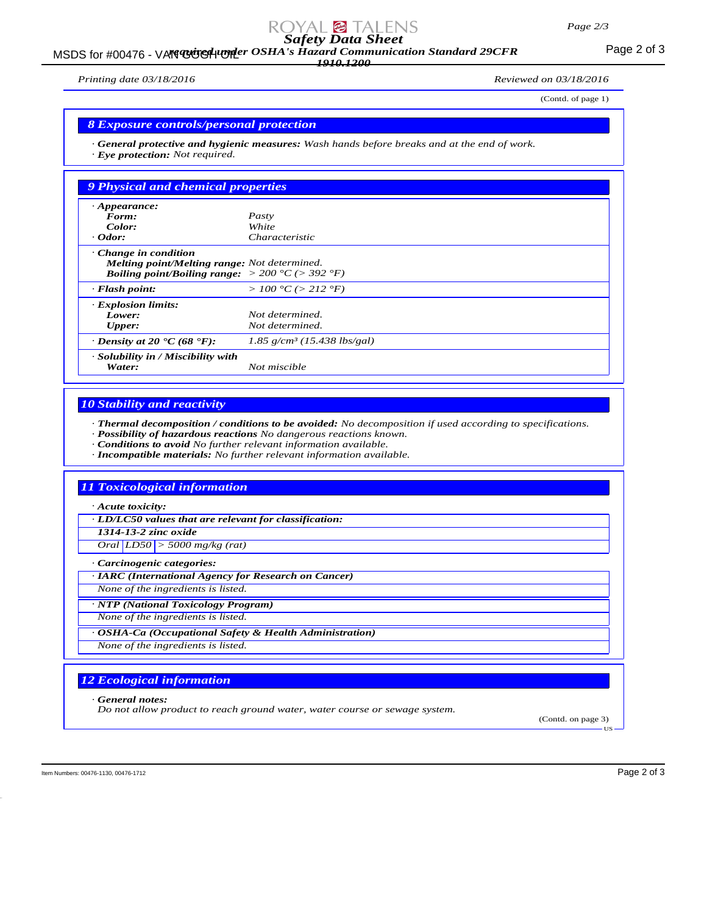# *Safety Data Sheet*

MSDS for #00476 - VAN GUGH UNDER OSHA's Hazard Communication Standard 29CFR<br>MSDS for #00476 - VAN GUGH UNDER OSHA's Hazard Communication Standard 29CFR *1910.1200*

*Printing date 03/18/2016 Reviewed on 03/18/2016*

(Contd. of page 1)

#### *8 Exposure controls/personal protection*

*· General protective and hygienic measures: Wash hands before breaks and at the end of work. · Eye protection: Not required.*

| <b>9 Physical and chemical properties</b>                                                                                                                  |                                           |
|------------------------------------------------------------------------------------------------------------------------------------------------------------|-------------------------------------------|
| $\cdot$ Appearance:                                                                                                                                        |                                           |
| Form:                                                                                                                                                      | Pasty                                     |
| Color:                                                                                                                                                     | White                                     |
| $\cdot$ Odor:                                                                                                                                              | Characteristic                            |
| $\cdot$ Change in condition<br>Melting point/Melting range: Not determined.<br><b>Boiling point/Boiling range:</b> $> 200 \degree C$ ( $> 392 \degree F$ ) |                                           |
| $\cdot$ Flash point:                                                                                                                                       | > 100 °C (> 212 °F)                       |
| <b>Explosion limits:</b>                                                                                                                                   |                                           |
| Lower:                                                                                                                                                     | Not determined.                           |
| Upper:                                                                                                                                                     | Not determined.                           |
| $\cdot$ Density at 20 $\cdot$ C (68 $\cdot$ F):                                                                                                            | $1.85$ g/cm <sup>3</sup> (15.438 lbs/gal) |
| · Solubility in / Miscibility with<br>Water:                                                                                                               | Not miscible                              |

## *10 Stability and reactivity*

*· Thermal decomposition / conditions to be avoided: No decomposition if used according to specifications.*

- *· Possibility of hazardous reactions No dangerous reactions known.*
- *· Conditions to avoid No further relevant information available.*
- *· Incompatible materials: No further relevant information available.*

#### *11 Toxicological information*

*· Acute toxicity:*

*· LD/LC50 values that are relevant for classification:*

*1314-13-2 zinc oxide*

*Oral LD50 > 5000 mg/kg (rat)*

*· Carcinogenic categories:*

*· IARC (International Agency for Research on Cancer)*

*None of the ingredients is listed.*

*· NTP (National Toxicology Program)*

*None of the ingredients is listed.*

*· OSHA-Ca (Occupational Safety & Health Administration)*

*None of the ingredients is listed.*

# *12 Ecological information*

*· General notes:*

*Do not allow product to reach ground water, water course or sewage system.*

(Contd. on page 3)

US